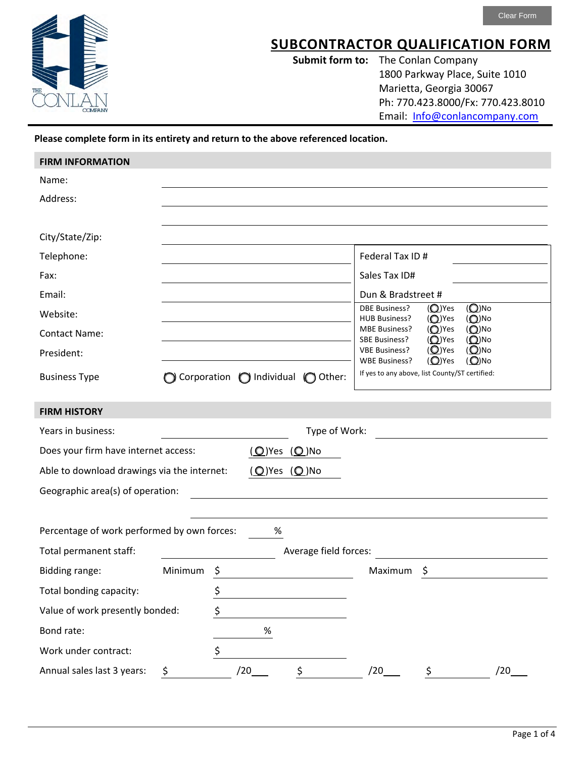

## **SUBCONTRACTOR QUALIFICATION FORM**

**Submit form to:** The Conlan Company 1800 Parkway Place, Suite 1010 Marietta, Georgia 30067 Ph: 770.423.8000/Fx: 770.423.8010 Email: Info@conlancompany.com

## **Please complete form in its entirety and return to the above referenced location.**

| <b>FIRM INFORMATION</b>                     |         |    |                                              |                       |                                                                                                           |
|---------------------------------------------|---------|----|----------------------------------------------|-----------------------|-----------------------------------------------------------------------------------------------------------|
| Name:                                       |         |    |                                              |                       |                                                                                                           |
| Address:                                    |         |    |                                              |                       |                                                                                                           |
|                                             |         |    |                                              |                       |                                                                                                           |
| City/State/Zip:                             |         |    |                                              |                       |                                                                                                           |
| Telephone:                                  |         |    |                                              |                       | Federal Tax ID #                                                                                          |
| Fax:                                        |         |    |                                              |                       | Sales Tax ID#                                                                                             |
| Email:                                      |         |    |                                              |                       | Dun & Bradstreet #                                                                                        |
| Website:                                    |         |    |                                              |                       | $(Q)$ No<br><b>DBE Business?</b><br>$\mathcal{O}$ )Yes<br>(O)Yes<br>$(Q)$ No<br><b>HUB Business?</b>      |
| <b>Contact Name:</b>                        |         |    |                                              |                       | $\mathcal{O}$ )Yes<br>$(O)$ No<br><b>MBE Business?</b><br>$\mathcal{O}$ )Yes<br>$(Q)$ No<br>SBE Business? |
| President:                                  |         |    |                                              |                       | $(Q)$ No<br>$(O)$ Yes<br><b>VBE Business?</b><br>$(Q)$ No<br>$(Q)$ Yes<br><b>WBE Business?</b>            |
| <b>Business Type</b>                        |         |    | $\bigcirc$ Corporation $\bigcirc$ Individual | $\bigcirc$ Other:     | If yes to any above, list County/ST certified:                                                            |
|                                             |         |    |                                              |                       |                                                                                                           |
| <b>FIRM HISTORY</b>                         |         |    |                                              |                       |                                                                                                           |
| Years in business:                          |         |    |                                              | Type of Work:         |                                                                                                           |
| Does your firm have internet access:        |         |    |                                              | $(Q)$ Yes $(Q)$ No    |                                                                                                           |
| Able to download drawings via the internet: |         |    |                                              | (O)Yes (O)No          |                                                                                                           |
| Geographic area(s) of operation:            |         |    |                                              |                       |                                                                                                           |
|                                             |         |    |                                              |                       |                                                                                                           |
| Percentage of work performed by own forces: |         |    | %                                            |                       |                                                                                                           |
| Total permanent staff:                      |         |    |                                              | Average field forces: |                                                                                                           |
| Bidding range:                              | Minimum | Ş  |                                              |                       | Maximum<br>Ş                                                                                              |
| Total bonding capacity:                     |         | \$ |                                              |                       |                                                                                                           |
| Value of work presently bonded:             |         | \$ |                                              |                       |                                                                                                           |
| Bond rate:                                  |         |    | $\%$                                         |                       |                                                                                                           |
| Work under contract:                        |         | \$ |                                              |                       |                                                                                                           |
| Annual sales last 3 years:                  | \$      |    | /20                                          | \$                    | /20<br>/20<br>\$                                                                                          |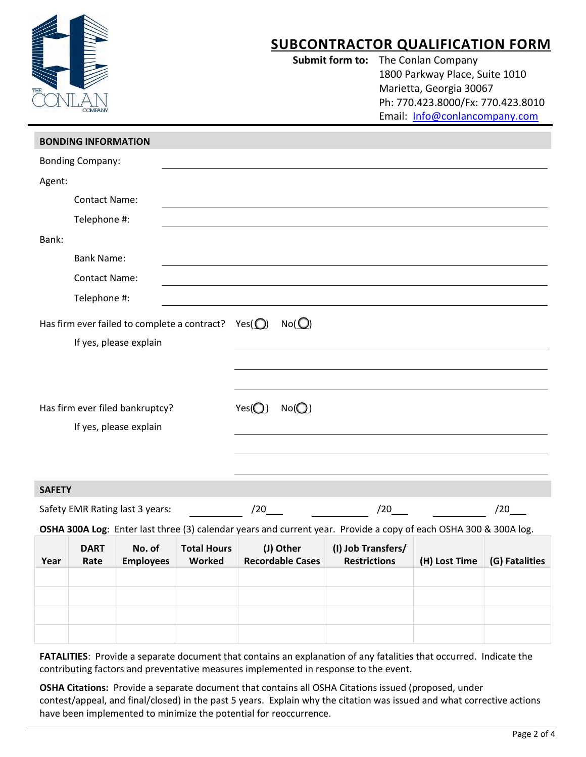|                                                                                                                  |                              | Submit form to:                      |                                           | <b>SUBCONTRACTOR QUALIFICATION FORM</b><br>The Conlan Company<br>1800 Parkway Place, Suite 1010<br>Marietta, Georgia 30067<br>Ph: 770.423.8000/Fx: 770.423.8010<br>Email: Info@conlancompany.com |                |
|------------------------------------------------------------------------------------------------------------------|------------------------------|--------------------------------------|-------------------------------------------|--------------------------------------------------------------------------------------------------------------------------------------------------------------------------------------------------|----------------|
| <b>BONDING INFORMATION</b>                                                                                       |                              |                                      |                                           |                                                                                                                                                                                                  |                |
| <b>Bonding Company:</b>                                                                                          |                              |                                      |                                           |                                                                                                                                                                                                  |                |
| Agent:                                                                                                           |                              |                                      |                                           |                                                                                                                                                                                                  |                |
| <b>Contact Name:</b>                                                                                             |                              |                                      |                                           |                                                                                                                                                                                                  |                |
| Telephone #:                                                                                                     |                              |                                      |                                           |                                                                                                                                                                                                  |                |
| Bank:                                                                                                            |                              |                                      |                                           |                                                                                                                                                                                                  |                |
| <b>Bank Name:</b>                                                                                                |                              |                                      |                                           |                                                                                                                                                                                                  |                |
| <b>Contact Name:</b>                                                                                             |                              |                                      |                                           |                                                                                                                                                                                                  |                |
| Telephone #:                                                                                                     |                              |                                      |                                           |                                                                                                                                                                                                  |                |
| Has firm ever failed to complete a contract? Yes( $\bigcirc$ )<br>If yes, please explain                         |                              | No(O)                                |                                           |                                                                                                                                                                                                  |                |
| Has firm ever filed bankruptcy?<br>If yes, please explain                                                        | $Yes($ $\bigcirc)$           | No(O)                                |                                           |                                                                                                                                                                                                  |                |
| <b>SAFETY</b>                                                                                                    |                              |                                      |                                           |                                                                                                                                                                                                  |                |
| Safety EMR Rating last 3 years:                                                                                  | /20                          |                                      | /20                                       |                                                                                                                                                                                                  | /20            |
| OSHA 300A Log: Enter last three (3) calendar years and current year. Provide a copy of each OSHA 300 & 300A log. |                              |                                      |                                           |                                                                                                                                                                                                  |                |
| <b>DART</b><br>No. of<br><b>Employees</b><br>Year<br>Rate                                                        | <b>Total Hours</b><br>Worked | (J) Other<br><b>Recordable Cases</b> | (I) Job Transfers/<br><b>Restrictions</b> | (H) Lost Time                                                                                                                                                                                    | (G) Fatalities |
|                                                                                                                  |                              |                                      |                                           |                                                                                                                                                                                                  |                |
|                                                                                                                  |                              |                                      |                                           |                                                                                                                                                                                                  |                |

**FATALITIES**: Provide a separate document that contains an explanation of any fatalities that occurred. Indicate the contributing factors and preventative measures implemented in response to the event.

**OSHA Citations:** Provide a separate document that contains all OSHA Citations issued (proposed, under contest/appeal, and final/closed) in the past 5 years. Explain why the citation was issued and what corrective actions have been implemented to minimize the potential for reoccurrence.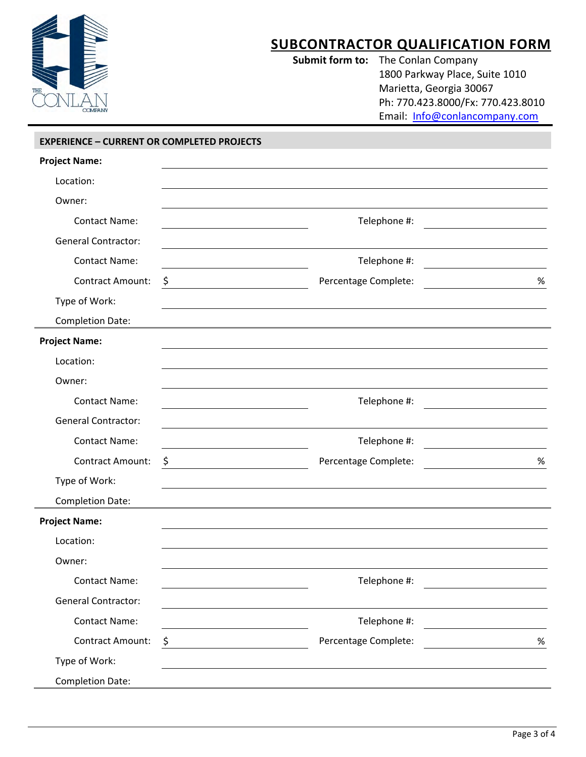